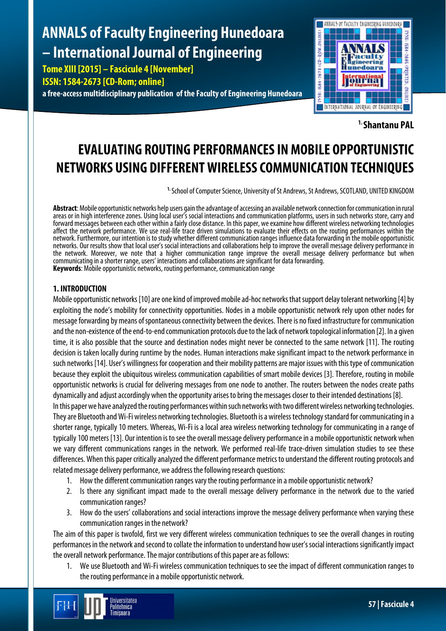# **ANNALS of Faculty Engineering Hunedoara – International Journal of Engineering**

**Tome XIII [2015] – Fascicule 4 [November] ISSN: 1584-2673 [CD-Rom; online]**

**a free-access multidisciplinary publication of the Faculty of Engineering Hunedoara**



**1. Shantanu PAL**

# **EVALUATING ROUTING PERFORMANCES IN MOBILE OPPORTUNISTIC NETWORKS USING DIFFERENT WIRELESS COMMUNICATION TECHNIQUES**

**1.** School of Computer Science, University of St Andrews, St Andrews, SCOTLAND, UNITED KINGDOM

**Abstract**: Mobile opportunistic networks help users gain the advantage of accessing an available network connection for communication in rural areas or in high interference zones. Using local user's social interactions and communication platforms, users in such networks store, carry and forward messages between each other within a fairly close distance. In this paper, we examine how different wireless networking technologies affect the network performance. We use real-life trace driven simulations to evaluate their effects on the routing performances within the network. Furthermore, our intention is to study whether different communication ranges influence data forwarding in the mobile opportunistic networks. Our results show that local user's social interactions and collaborations help to improve the overall message delivery performance in<br>the network. Moreover, we note that a higher communication range improve the o the network. Moreover, we note that a higher communication range improve the overall message delivery performance but when<br>communicating in a shorter range, users' interactions and collaborations are significant for data f **Keywords**: Mobile opportunistic networks, routing performance, communication range

# **1. INTRODUCTION**

Mobile opportunistic networks [10] are one kind of improved mobile ad-hoc networks that support delay tolerant networking [4] by exploiting the node's mobility for connectivity opportunities. Nodes in a mobile opportunistic network rely upon other nodes for message forwarding by means of spontaneous connectivity between the devices. There is no fixed infrastructure for communication and the non-existence of the end-to-end communication protocols due to the lack of network topological information [2]. In a given time, it is also possible that the source and destination nodes might never be connected to the same network [11]. The routing decision is taken locally during runtime by the nodes. Human interactions make significant impact to the network performance in such networks [14]. User's willingness for cooperation and their mobility patterns are major issues with this type of communication because they exploit the ubiquitous wireless communication capabilities of smart mobile devices [3]. Therefore, routing in mobile opportunistic networks is crucial for delivering messages from one node to another. The routers between the nodes create paths dynamically and adjust accordingly when the opportunity arises to bring the messages closer to their intended destinations [8].

In this paper we have analyzed the routing performances within such networks with two different wireless networking technologies. They are Bluetooth and Wi-Fi wireless networking technologies. Bluetooth is a wireless technology standard for communicating in a shorter range, typically 10 meters. Whereas, Wi-Fi is a local area wireless networking technology for communicating in a range of typically 100 meters [13]. Our intention is to see the overall message delivery performance in a mobile opportunistic network when we vary different communications ranges in the network. We performed real-life trace-driven simulation studies to see these differences. When this paper critically analyzed the different performance metrics to understand the different routing protocols and related message delivery performance, we address the following research questions:

- 1. How the different communication ranges vary the routing performance in a mobile opportunistic network?
- 2. Is there any significant impact made to the overall message delivery performance in the network due to the varied communication ranges?
- 3. How do the users' collaborations and social interactions improve the message delivery performance when varying these communication ranges in the network?

The aim of this paper is twofold, first we very different wireless communication techniques to see the overall changes in routing performances in the network and second to collate the information to understand how user's social interactions significantly impact the overall network performance. The major contributions of this paper are as follows:

1. We use Bluetooth and Wi-Fi wireless communication techniques to see the impact of different communication ranges to the routing performance in a mobile opportunistic network.

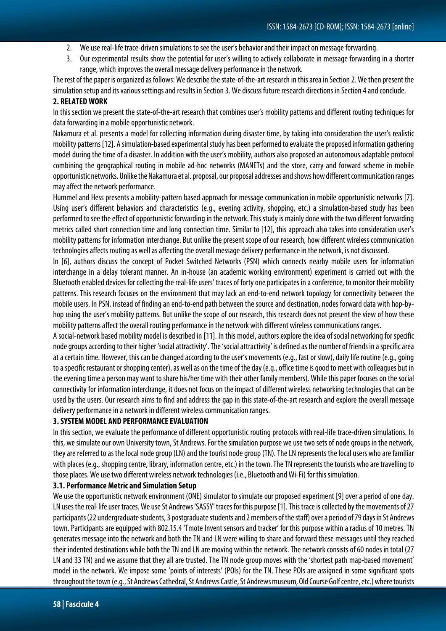- 2. We use real-life trace-driven simulations to see the user's behavior and their impact on message forwarding.
- 3. Our experimental results show the potential for user's willing to actively collaborate in message forwarding in a shorter range, which improves the overall message delivery performance in the network.

The rest of the paper is organized as follows: We describe the state-of-the-art research in this area in Section 2. We then present the simulation setup and its various settings and results in Section 3. We discuss future research directions in Section 4 and conclude.

# **2. RELATED WORK**

In this section we present the state-of-the-art research that combines user's mobility patterns and different routing techniques for data forwarding in a mobile opportunistic network.

Nakamura et al. presents a model for collecting information during disaster time, by taking into consideration the user's realistic mobility patterns [12]. A simulation-based experimental study has been performed to evaluate the proposed information gathering model during the time of a disaster. In addition with the user's mobility, authors also proposed an autonomous adaptable protocol combining the geographical routing in mobile ad-hoc networks (MANETs) and the store, carry and forward scheme in mobile opportunistic networks. Unlike the Nakamuraet al. proposal, our proposal addresses and shows how different communication ranges may affect the network performance.

Hummel and Hess presents a mobility-pattern based approach for message communication in mobile opportunistic networks [7]. Using user's different behaviors and characteristics (e.g., evening activity, shopping, etc.) a simulation-based study has been performed to see the effect of opportunistic forwarding in the network. This study is mainly done with the two different forwarding metrics called short connection time and long connection time. Similar to [12], this approach also takes into consideration user's mobility patterns for information interchange. But unlike the present scope of our research, how different wireless communication technologies affects routing as well as affecting the overall message delivery performance in the network, is not discussed.

In [6], authors discuss the concept of Pocket Switched Networks (PSN) which connects nearby mobile users for information interchange in a delay tolerant manner. An in-house (an academic working environment) experiment is carried out with the Bluetooth enabled devices for collecting the real-life users' traces of forty one participates in a conference, to monitor their mobility patterns. This research focuses on the environment that may lack an end-to-end network topology for connectivity between the mobile users. In PSN, instead of finding an end-to-end path between the source and destination, nodes forward data with hop-byhop using the user's mobility patterns. But unlike the scope of our research, this research does not present the view of how these mobility patterns affect the overall routing performance in the network with different wireless communications ranges.

A social-network based mobility model is described in [11]. In this model, authors explore the idea of social networking for specific node groups according to their higher 'social attractivity'. The 'social attractivity' is defined as the number of friends in a specific area at a certain time. However, this can be changed according to the user's movements (e.g., fast or slow), daily life routine (e.g., going to a specific restaurant or shopping center), as well as on the time of the day (e.g., office time is good to meet with colleagues but in the evening time a person may want to share his/her time with their other family members). While this paper focuses on the social connectivity for information interchange, it does not focus on the impact of different wireless networking technologies that can be used by the users. Our research aims to find and address the gap in this state-of-the-art research and explore the overall message delivery performance in a network in different wireless communication ranges.

# **3. SYSTEM MODEL AND PERFORMANCE EVALUATION**

In this section, we evaluate the performance of different opportunistic routing protocols with real-life trace-driven simulations. In this, we simulate our own University town, St Andrews. For the simulation purpose we use two sets of node groups in the network, they are referred to as the local node group (LN) and the tourist node group (TN). The LN represents the local users who are familiar with places (e.g., shopping centre, library, information centre, etc.) in the town. The TN represents the tourists who are travelling to those places. We use two different wireless network technologies (i.e., Bluetooth and Wi-Fi) for this simulation.

# **3.1. Performance Metric and Simulation Setup**

We use the opportunistic network environment (ONE) simulator to simulate our proposed experiment [9] over a period of one day. LN uses the real-life user traces. We use St Andrews 'SASSY' traces for this purpose [1]. This trace is collected by the movements of 27 participants (22 undergraduate students, 3 postgraduate students and 2 members of the staff) over a period of 79 days in St Andrews town. Participants are equipped with 802.15.4 'Tmote Invent sensors and tracker' for this purpose within a radius of10 metres. TN generates message into the network and both the TN and LN were willing to share and forward these messages until they reached their indented destinations while both the TN and LN are moving within the network. The network consists of 60 nodes in total (27 LN and 33 TN) and we assume that they all are trusted. The TN node group moves with the 'shortest path map-based movement' model in the network. We impose some 'points of interests' (POIs) for the TN. These POIs are assigned in some significant spots throughout the town (e.g., St Andrews Cathedral, St Andrews Castle, St Andrews museum, Old Course Golf centre, etc.) where tourists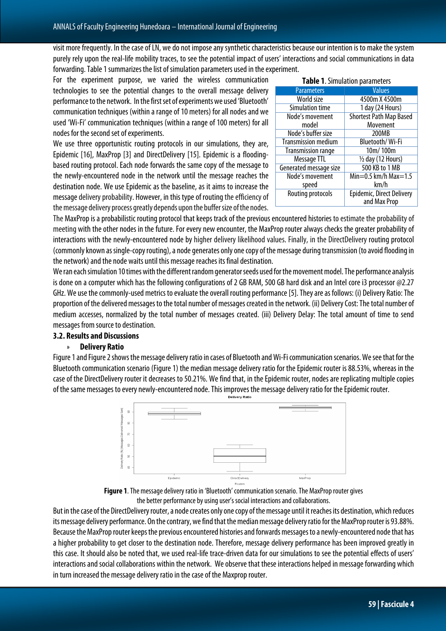visit more frequently. In the case of LN, we do not impose any synthetic characteristics because our intention is to make the system purely rely upon the real-life mobility traces, to see the potential impact of users' interactions and social communications in data forwarding. Table 1 summarizes the list of simulation parameters used in the experiment.

For the experiment purpose, we varied the wireless communication technologies to see the potential changes to the overall message delivery performance to the network. In the first set of experiments we used 'Bluetooth' communication techniques (within a range of 10 meters) for all nodes and we used 'Wi-Fi' communication techniques (within a range of 100 meters) for all nodes for the second set of experiments.

We use three opportunistic routing protocols in our simulations, they are, Epidemic [16], MaxProp [3] and DirectDelivery [15]. Epidemic is a floodingbased routing protocol. Each node forwards the same copy of the message to the newly-encountered node in the network until the message reaches the destination node. We use Epidemic as the baseline, as it aims to increase the message delivery probability. However, in this type of routing the efficiency of the message delivery process greatly depends upon the buffer size of the nodes.

| <b>Table 1. Simulation parameters</b> |                                |
|---------------------------------------|--------------------------------|
| <b>Parameters</b>                     | <b>Values</b>                  |
| World size                            | 4500m X 4500m                  |
| Simulation time                       | 1 day (24 Hours)               |
| Node's movement                       | <b>Shortest Path Map Based</b> |
| model                                 | Movement                       |
| Node's buffer size                    | 200MB                          |
| <b>Transmission medium</b>            | Bluetooth/Wi-Fi                |
| <b>Transmission range</b>             | 10m/100m                       |
| Message TTL                           | 1/2 day (12 Hours)             |
| Generated message size                | 500 KB to 1 MB                 |
| Node's movement                       | Min=0.5 km/h Max=1.5           |
| speed                                 | km/h                           |
| Routing protocols                     | Epidemic, Direct Delivery      |
|                                       | and Max Prop                   |

The MaxProp is a probabilistic routing protocol that keeps track of the previous encountered histories to estimate the probability of meeting with the other nodes in the future. For every new encounter, the MaxProp router always checks the greater probability of interactions with the newly-encountered node by higher delivery likelihood values. Finally, in the DirectDelivery routing protocol (commonly known as single-copy routing), a node generates only one copy of the message during transmission (to avoid flooding in the network) and the node waits until this message reaches its final destination.

We ran each simulation 10 times with the different random generator seeds used for the movement model. The performance analysis is done on a computer which has the following configurations of 2 GB RAM, 500 GB hard disk and an Intel core i3 processor @2.27 GHz. We use the commonly-used metrics to evaluate the overall routing performance [5]. They are as follows: (i) Delivery Ratio: The proportion of the delivered messages to the total number of messages created in the network. (ii) Delivery Cost: The total number of medium accesses, normalized by the total number of messages created. (iii) Delivery Delay: The total amount of time to send messages from source to destination.

# **3.2. Results and Discussions**

#### » **Delivery Ratio**

Figure 1 and Figure 2 shows the message delivery ratio in cases of Bluetooth and Wi-Fi communication scenarios. We see that for the Bluetooth communication scenario (Figure 1) the median message delivery ratio for the Epidemic router is 88.53%, whereas in the case of the DirectDelivery router it decreases to 50.21%. We find that, in the Epidemic router, nodes are replicating multiple copies of the same messages to every newly-encountered node. This improves the message delivery ratio for the Epidemic router.



**Figure 1**. The message delivery ratio in 'Bluetooth' communication scenario. The MaxProp router gives the better performance by using user's social interactions and collaborations.

But in the case of the DirectDelivery router, a node creates only one copy of the message until it reaches its destination, which reduces its message delivery performance. On the contrary, we find that the median message delivery ratio for the MaxProp router is 93.88%. Because the MaxProp router keeps the previous encountered histories and forwards messages to a newly-encountered node that has a higher probability to get closer to the destination node. Therefore, message delivery performance has been improved greatly in this case. It should also be noted that, we used real-life trace-driven data for our simulations to see the potential effects of users' interactions and social collaborations within the network. We observe that these interactions helped in message forwarding which in turn increased the message delivery ratio in the case of the Maxprop router.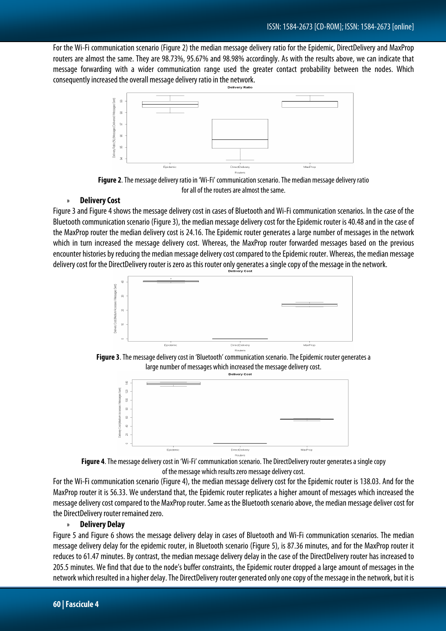For the Wi-Fi communication scenario (Figure 2) the median message delivery ratio for the Epidemic, DirectDelivery and MaxProp routers are almost the same. They are 98.73%, 95.67% and 98.98% accordingly. As with the results above, we can indicate that message forwarding with a wider communication range used the greater contact probability between the nodes. Which consequently increased the overall message delivery ratio in the network.



**Figure 2**. The message delivery ratio in 'Wi-Fi' communication scenario. The median message delivery ratio for all of the routers are almost the same.

# » **Delivery Cost**

Figure 3 and Figure 4 shows the message delivery cost in cases of Bluetooth and Wi-Fi communication scenarios. In the case of the Bluetooth communication scenario (Figure 3), the median message delivery cost for the Epidemic router is 40.48 and in the case of the MaxProp router the median delivery cost is 24.16. The Epidemic router generates a large number of messages in the network which in turn increased the message delivery cost. Whereas, the MaxProp router forwarded messages based on the previous encounter histories by reducing the median message delivery cost compared to the Epidemic router. Whereas, the median message delivery cost for the DirectDelivery router is zero as this router only generates a single copy of the message in the network.



**Figure 3**. The message delivery cost in 'Bluetooth' communication scenario. The Epidemic router generates a large number of messages which increased the message delivery cost.





For the Wi-Fi communication scenario (Figure 4), the median message delivery cost for the Epidemic router is 138.03. And for the MaxProp router it is 56.33. We understand that, the Epidemic router replicates a higher amount of messages which increased the message delivery cost compared to the MaxProp router. Same as the Bluetooth scenario above, the median message deliver cost for the DirectDelivery router remained zero.

#### » **Delivery Delay**

Figure 5 and Figure 6 shows the message delivery delay in cases of Bluetooth and Wi-Fi communication scenarios. The median message delivery delay for the epidemic router, in Bluetooth scenario (Figure 5), is 87.36 minutes, and for the MaxProp router it reduces to 61.47 minutes. By contrast, the median message delivery delay in the case of the DirectDelivery router has increased to 205.5 minutes. We find that due to the node's buffer constraints, the Epidemic router dropped a large amount of messages in the network which resulted in a higher delay. The DirectDelivery router generated only one copy of the message in the network, but it is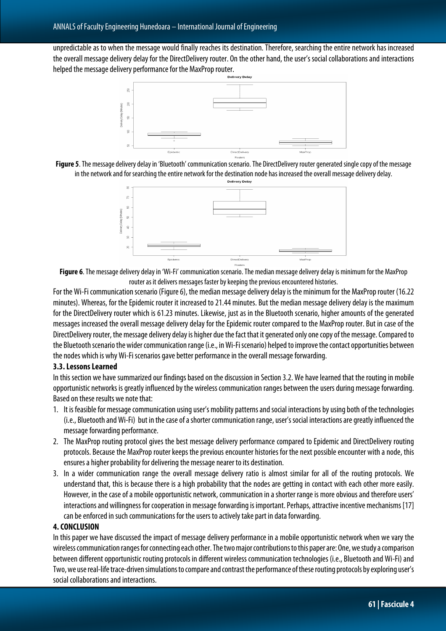unpredictable as to when the message would finally reaches its destination. Therefore, searching the entire network has increased the overall message delivery delay for the DirectDelivery router. On the other hand, the user's social collaborations and interactions helped the message delivery performance for the MaxProp router.







**Figure 6**. The message delivery delay in 'Wi-Fi' communication scenario. The median message delivery delay is minimum for the MaxProp router as it delivers messages faster by keeping the previous encountered histories.

For the Wi-Fi communication scenario (Figure 6), the median message delivery delay is the minimum for the MaxProp router (16.22 minutes). Whereas, for the Epidemic router it increased to 21.44 minutes. But the median message delivery delay is the maximum for the DirectDelivery router which is 61.23 minutes. Likewise, just as in the Bluetooth scenario, higher amounts of the generated messages increased the overall message delivery delay for the Epidemic router compared to the MaxProp router. But in case of the DirectDelivery router, the message delivery delay is higher due the fact that it generated only one copy of the message. Compared to the Bluetooth scenario the wider communication range (i.e., in Wi-Fi scenario) helped to improve the contact opportunities between the nodes which is why Wi-Fi scenarios gave better performance in the overall message forwarding.

# **3.3. Lessons Learned**

In this section we have summarized our findings based on the discussion in Section 3.2. We have learned that the routing in mobile opportunistic networks is greatly influenced by the wireless communication ranges between the users during message forwarding. Based on these results we note that:

- 1. It is feasible for message communication using user's mobility patterns and social interactions by using both of the technologies (i.e., Bluetooth and Wi-Fi) but in the case of a shorter communication range, user's social interactions are greatly influenced the message forwarding performance.
- 2. The MaxProp routing protocol gives the best message delivery performance compared to Epidemic and DirectDelivery routing protocols. Because the MaxProp router keeps the previous encounter histories for the next possible encounter with a node, this ensures a higher probability for delivering the message nearer to its destination.
- 3. In a wider communication range the overall message delivery ratio is almost similar for all of the routing protocols. We understand that, this is because there is a high probability that the nodes are getting in contact with each other more easily. However, in the case of a mobile opportunistic network, communication in a shorter range is more obvious and therefore users' interactions and willingness for cooperation in message forwarding is important. Perhaps, attractive incentive mechanisms [17] can be enforced in such communications for the users to actively take part in data forwarding.

# **4. CONCLUSION**

In this paper we have discussed the impact of message delivery performance in a mobile opportunistic network when we vary the wireless communication ranges for connecting each other. The two major contributions to this paper are: One, we study a comparison between different opportunistic routing protocols in different wireless communication technologies (i.e., Bluetooth and Wi-Fi) and Two, we use real-life trace-driven simulations to compare and contrast the performance of these routing protocols by exploring user's social collaborations and interactions.